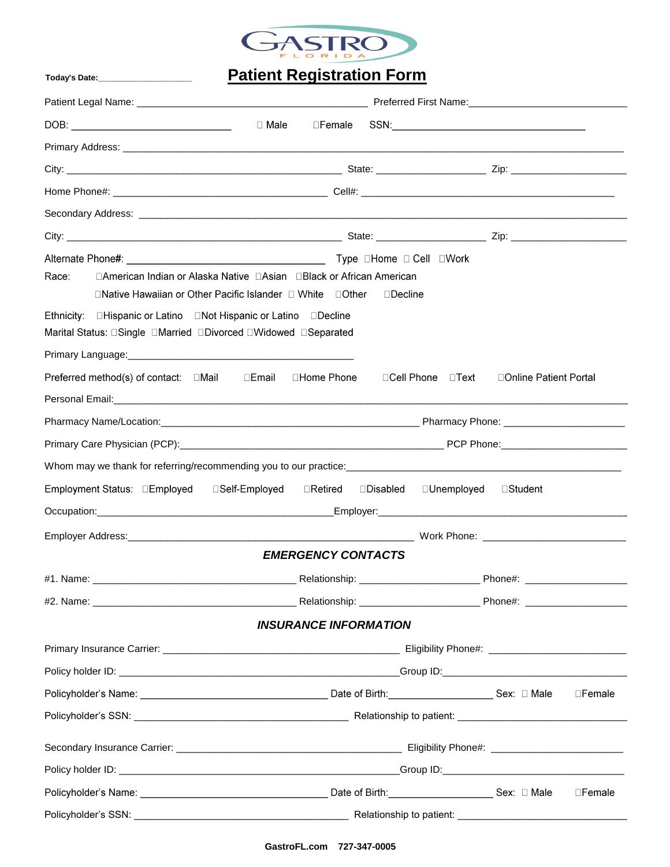

# **Patient Registration Form**

Today's Date:\_\_\_\_\_\_\_\_\_\_\_\_\_\_\_\_\_

| □ Male                                                                                                                                    | ⊟Female                                       |                        |  |  |
|-------------------------------------------------------------------------------------------------------------------------------------------|-----------------------------------------------|------------------------|--|--|
|                                                                                                                                           |                                               |                        |  |  |
|                                                                                                                                           |                                               |                        |  |  |
|                                                                                                                                           |                                               |                        |  |  |
|                                                                                                                                           |                                               |                        |  |  |
|                                                                                                                                           |                                               |                        |  |  |
| □American Indian or Alaska Native □Asian □Black or African American<br>Race:<br>□Native Hawaiian or Other Pacific Islander □ White □Other | $\Box$ Decline                                |                        |  |  |
| Ethnicity: <b>DHispanic or Latino</b> DNot Hispanic or Latino Decline<br>Marital Status: □Single □Married □Divorced □Widowed □Separated   |                                               |                        |  |  |
|                                                                                                                                           |                                               |                        |  |  |
| Preferred method(s) of contact: □Mail □Email<br>□Home Phone                                                                               | ⊟Cell Phone □Text                             | □Online Patient Portal |  |  |
|                                                                                                                                           |                                               |                        |  |  |
|                                                                                                                                           |                                               |                        |  |  |
|                                                                                                                                           |                                               |                        |  |  |
|                                                                                                                                           |                                               |                        |  |  |
| Employment Status: □Employed                                                                                                              | □Self-Employed □Retired □Disabled □Unemployed | ⊟Student               |  |  |
|                                                                                                                                           |                                               |                        |  |  |
|                                                                                                                                           |                                               |                        |  |  |
|                                                                                                                                           | <b>EMERGENCY CONTACTS</b>                     |                        |  |  |
| #1. Name:                                                                                                                                 | __ Relationship: _                            | $\_$ Phone#:           |  |  |
|                                                                                                                                           |                                               |                        |  |  |
|                                                                                                                                           | <b>INSURANCE INFORMATION</b>                  |                        |  |  |
|                                                                                                                                           |                                               |                        |  |  |
|                                                                                                                                           |                                               |                        |  |  |
|                                                                                                                                           |                                               | $\square$ Female       |  |  |
|                                                                                                                                           |                                               |                        |  |  |
|                                                                                                                                           |                                               |                        |  |  |
|                                                                                                                                           |                                               |                        |  |  |
|                                                                                                                                           |                                               | □Female                |  |  |
|                                                                                                                                           |                                               |                        |  |  |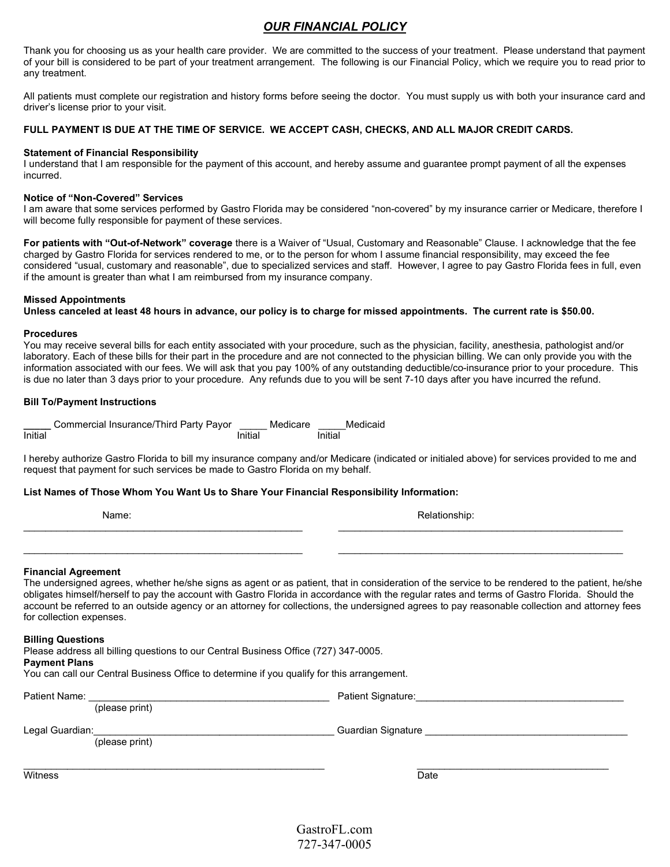# OUR FINANCIAL POLICY

Thank you for choosing us as your health care provider. We are committed to the success of your treatment. Please understand that payment of your bill is considered to be part of your treatment arrangement. The following is our Financial Policy, which we require you to read prior to any treatment.

All patients must complete our registration and history forms before seeing the doctor. You must supply us with both your insurance card and driver's license prior to your visit.

### FULL PAYMENT IS DUE AT THE TIME OF SERVICE. WE ACCEPT CASH, CHECKS, AND ALL MAJOR CREDIT CARDS.

### Statement of Financial Responsibility

I understand that I am responsible for the payment of this account, and hereby assume and guarantee prompt payment of all the expenses incurred.

### Notice of "Non-Covered" Services

I am aware that some services performed by Gastro Florida may be considered "non-covered" by my insurance carrier or Medicare, therefore I will become fully responsible for payment of these services.

For patients with "Out-of-Network" coverage there is a Waiver of "Usual, Customary and Reasonable" Clause. I acknowledge that the fee charged by Gastro Florida for services rendered to me, or to the person for whom I assume financial responsibility, may exceed the fee considered "usual, customary and reasonable", due to specialized services and staff. However, I agree to pay Gastro Florida fees in full, even if the amount is greater than what I am reimbursed from my insurance company.

### Missed Appointments

Unless canceled at least 48 hours in advance, our policy is to charge for missed appointments. The current rate is \$50.00.

#### Procedures

You may receive several bills for each entity associated with your procedure, such as the physician, facility, anesthesia, pathologist and/or laboratory. Each of these bills for their part in the procedure and are not connected to the physician billing. We can only provide you with the information associated with our fees. We will ask that you pay 100% of any outstanding deductible/co-insurance prior to your procedure. This is due no later than 3 days prior to your procedure. Any refunds due to you will be sent 7-10 days after you have incurred the refund.

### Bill To/Payment Instructions

|         | Commercial Insurance/Third Party Payor |         | Medicare | Medicaid |
|---------|----------------------------------------|---------|----------|----------|
| Initial |                                        | Initial |          | Initial  |

I hereby authorize Gastro Florida to bill my insurance company and/or Medicare (indicated or initialed above) for services provided to me and request that payment for such services be made to Gastro Florida on my behalf.

### List Names of Those Whom You Want Us to Share Your Financial Responsibility Information:

| Name: |  |  |
|-------|--|--|
|       |  |  |

### Financial Agreement

The undersigned agrees, whether he/she signs as agent or as patient, that in consideration of the service to be rendered to the patient, he/she obligates himself/herself to pay the account with Gastro Florida in accordance with the regular rates and terms of Gastro Florida. Should the account be referred to an outside agency or an attorney for collections, the undersigned agrees to pay reasonable collection and attorney fees for collection expenses.

### Billing Questions

Please address all billing questions to our Central Business Office (727) 347-0005.

### Payment Plans

You can call our Central Business Office to determine if you qualify for this arrangement.

Patient Name: \_\_\_\_\_\_\_\_\_\_\_\_\_\_\_\_\_\_\_\_\_\_\_\_\_\_\_\_\_\_\_\_\_\_\_\_\_\_\_\_\_\_\_\_ Patient Signature:\_\_\_\_\_\_\_\_\_\_\_\_\_\_\_\_\_\_\_\_\_\_\_\_\_\_\_\_\_\_\_\_\_\_\_\_\_\_

Legal Guardian:\_\_\_\_\_\_\_\_\_\_\_\_\_\_\_\_\_\_\_\_\_\_\_\_\_\_\_\_\_\_\_\_\_\_\_\_\_\_\_\_\_\_\_\_ Guardian Signature \_\_\_\_\_\_\_\_\_\_\_\_\_\_\_\_\_\_\_\_\_\_\_\_\_\_\_\_\_\_\_\_\_\_\_\_\_

(please print)

(please print)

witness **Date** 

GastroFL.com 727-347-0005

 $\mathcal{L}_\text{max} = \frac{1}{2} \sum_{i=1}^{n} \frac{1}{2} \sum_{i=1}^{n} \frac{1}{2} \sum_{i=1}^{n} \frac{1}{2} \sum_{i=1}^{n} \frac{1}{2} \sum_{i=1}^{n} \frac{1}{2} \sum_{i=1}^{n} \frac{1}{2} \sum_{i=1}^{n} \frac{1}{2} \sum_{i=1}^{n} \frac{1}{2} \sum_{i=1}^{n} \frac{1}{2} \sum_{i=1}^{n} \frac{1}{2} \sum_{i=1}^{n} \frac{1}{2} \sum_{i=1}^{n} \frac{1$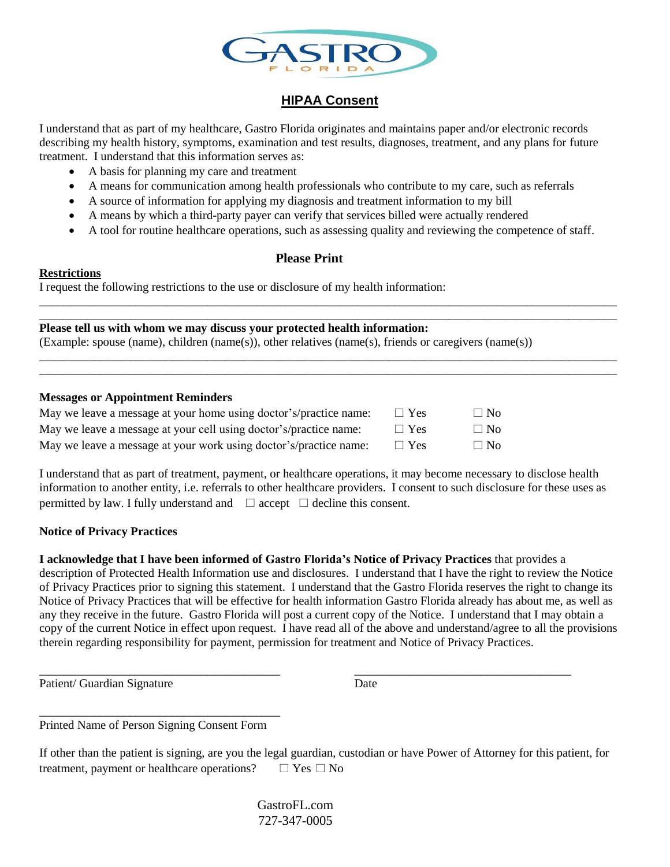

# **HIPAA Consent**

I understand that as part of my healthcare, Gastro Florida originates and maintains paper and/or electronic records describing my health history, symptoms, examination and test results, diagnoses, treatment, and any plans for future treatment. I understand that this information serves as:

- A basis for planning my care and treatment
- A means for communication among health professionals who contribute to my care, such as referrals
- A source of information for applying my diagnosis and treatment information to my bill
- A means by which a third-party payer can verify that services billed were actually rendered
- A tool for routine healthcare operations, such as assessing quality and reviewing the competence of staff.

\_\_\_\_\_\_\_\_\_\_\_\_\_\_\_\_\_\_\_\_\_\_\_\_\_\_\_\_\_\_\_\_\_\_\_\_\_\_\_\_\_\_\_\_\_\_\_\_\_\_\_\_\_\_\_\_\_\_\_\_\_\_\_\_\_\_\_\_\_\_\_\_\_\_\_\_\_\_\_\_\_\_\_\_\_\_\_\_\_\_\_\_\_\_\_\_ \_\_\_\_\_\_\_\_\_\_\_\_\_\_\_\_\_\_\_\_\_\_\_\_\_\_\_\_\_\_\_\_\_\_\_\_\_\_\_\_\_\_\_\_\_\_\_\_\_\_\_\_\_\_\_\_\_\_\_\_\_\_\_\_\_\_\_\_\_\_\_\_\_\_\_\_\_\_\_\_\_\_\_\_\_\_\_\_\_\_\_\_\_\_\_\_

\_\_\_\_\_\_\_\_\_\_\_\_\_\_\_\_\_\_\_\_\_\_\_\_\_\_\_\_\_\_\_\_\_\_\_\_\_\_\_\_\_\_\_\_\_\_\_\_\_\_\_\_\_\_\_\_\_\_\_\_\_\_\_\_\_\_\_\_\_\_\_\_\_\_\_\_\_\_\_\_\_\_\_\_\_\_\_\_\_\_\_\_\_\_\_\_ \_\_\_\_\_\_\_\_\_\_\_\_\_\_\_\_\_\_\_\_\_\_\_\_\_\_\_\_\_\_\_\_\_\_\_\_\_\_\_\_\_\_\_\_\_\_\_\_\_\_\_\_\_\_\_\_\_\_\_\_\_\_\_\_\_\_\_\_\_\_\_\_\_\_\_\_\_\_\_\_\_\_\_\_\_\_\_\_\_\_\_\_\_\_\_\_

# **Please Print**

# **Restrictions**

I request the following restrictions to the use or disclosure of my health information:

**Please tell us with whom we may discuss your protected health information:** (Example: spouse (name), children (name(s)), other relatives (name(s), friends or caregivers (name(s))

# **Messages or Appointment Reminders**

| May we leave a message at your home using doctor's/practice name: | $\Box$ Yes | $\Box$ No |
|-------------------------------------------------------------------|------------|-----------|
| May we leave a message at your cell using doctor's/practice name: | $\Box$ Yes | $\Box$ No |
| May we leave a message at your work using doctor's/practice name: | $\Box$ Yes | $\Box$ No |

I understand that as part of treatment, payment, or healthcare operations, it may become necessary to disclose health information to another entity, i.e. referrals to other healthcare providers. I consent to such disclosure for these uses as permitted by law. I fully understand and  $\Box$  accept  $\Box$  decline this consent.

# **Notice of Privacy Practices**

**I acknowledge that I have been informed of Gastro Florida's Notice of Privacy Practices** that provides a description of Protected Health Information use and disclosures. I understand that I have the right to review the Notice of Privacy Practices prior to signing this statement. I understand that the Gastro Florida reserves the right to change its Notice of Privacy Practices that will be effective for health information Gastro Florida already has about me, as well as any they receive in the future. Gastro Florida will post a current copy of the Notice. I understand that I may obtain a copy of the current Notice in effect upon request. I have read all of the above and understand/agree to all the provisions therein regarding responsibility for payment, permission for treatment and Notice of Privacy Practices.

\_\_\_\_\_\_\_\_\_\_\_\_\_\_\_\_\_\_\_\_\_\_\_\_\_\_\_\_\_\_\_\_\_\_\_\_\_\_\_\_ \_\_\_\_\_\_\_\_\_\_\_\_\_\_\_\_\_\_\_\_\_\_\_\_\_\_\_\_\_\_\_\_\_\_\_\_

Patient/ Guardian Signature Date

\_\_\_\_\_\_\_\_\_\_\_\_\_\_\_\_\_\_\_\_\_\_\_\_\_\_\_\_\_\_\_\_\_\_\_\_\_\_\_\_ Printed Name of Person Signing Consent Form

If other than the patient is signing, are you the legal guardian, custodian or have Power of Attorney for this patient, for treatment, payment or healthcare operations?  $\Box$  Yes  $\Box$  No

> GastroFL.com 727-347-0005